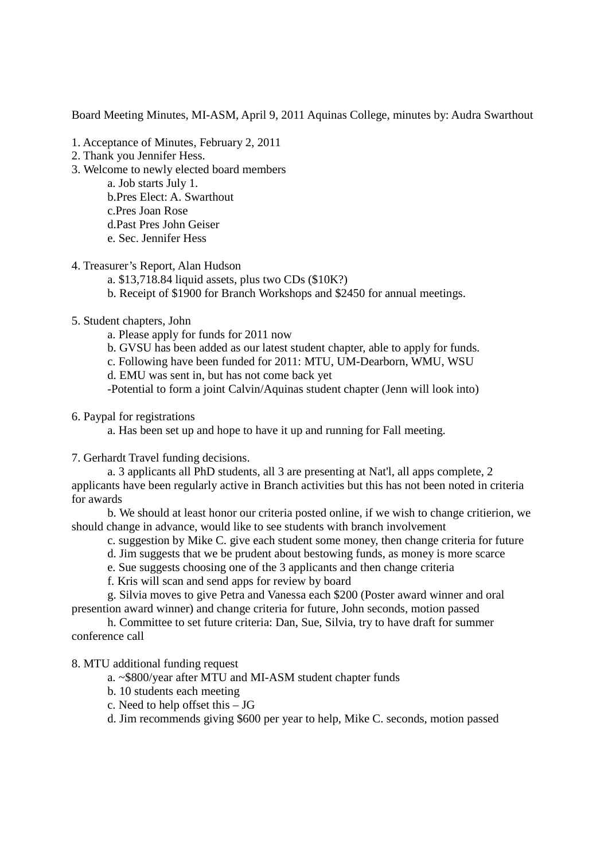Board Meeting Minutes, MI-ASM, April 9, 2011 Aquinas College, minutes by: Audra Swarthout

- 1. Acceptance of Minutes, February 2, 2011
- 2. Thank you Jennifer Hess.
- 3. Welcome to newly elected board members
	- a. Job starts July 1.
		- b.Pres Elect: A. Swarthout
		- c.Pres Joan Rose
	- d.Past Pres John Geiser
	- e. Sec. Jennifer Hess
- 4. Treasurer's Report, Alan Hudson
	- a. \$13,718.84 liquid assets, plus two CDs (\$10K?)
	- b. Receipt of \$1900 for Branch Workshops and \$2450 for annual meetings.
- 5. Student chapters, John
	- a. Please apply for funds for 2011 now
	- b. GVSU has been added as our latest student chapter, able to apply for funds.
	- c. Following have been funded for 2011: MTU, UM-Dearborn, WMU, WSU
	- d. EMU was sent in, but has not come back yet

-Potential to form a joint Calvin/Aquinas student chapter (Jenn will look into)

6. Paypal for registrations

a. Has been set up and hope to have it up and running for Fall meeting.

7. Gerhardt Travel funding decisions.

a. 3 applicants all PhD students, all 3 are presenting at Nat'l, all apps complete, 2 applicants have been regularly active in Branch activities but this has not been noted in criteria for awards

b. We should at least honor our criteria posted online, if we wish to change critierion, we should change in advance, would like to see students with branch involvement

- c. suggestion by Mike C. give each student some money, then change criteria for future
- d. Jim suggests that we be prudent about bestowing funds, as money is more scarce
- e. Sue suggests choosing one of the 3 applicants and then change criteria
- f. Kris will scan and send apps for review by board

g. Silvia moves to give Petra and Vanessa each \$200 (Poster award winner and oral presention award winner) and change criteria for future, John seconds, motion passed

h. Committee to set future criteria: Dan, Sue, Silvia, try to have draft for summer conference call

8. MTU additional funding request

- a. ~\$800/year after MTU and MI-ASM student chapter funds
- b. 10 students each meeting
- c. Need to help offset this JG
- d. Jim recommends giving \$600 per year to help, Mike C. seconds, motion passed